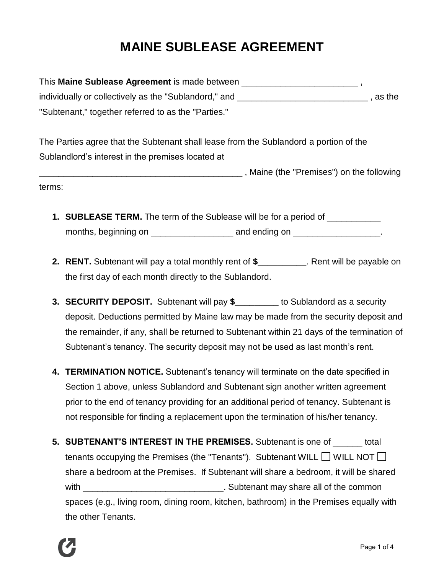## **MAINE SUBLEASE AGREEMENT**

This **Maine Sublease Agreement** is made between \_\_\_\_\_\_\_\_\_\_\_\_\_\_\_\_\_\_\_\_\_\_\_\_ , individually or collectively as the "Sublandord," and \_\_\_\_\_\_\_\_\_\_\_\_\_\_\_\_\_\_\_\_\_\_\_\_\_\_\_\_\_\_\_\_\_, as the "Subtenant," together referred to as the "Parties."

The Parties agree that the Subtenant shall lease from the Sublandord a portion of the Sublandlord's interest in the premises located at

\_\_\_\_\_\_\_\_\_\_\_\_\_\_\_\_\_\_\_\_\_\_\_\_\_\_\_\_\_\_\_\_\_\_\_\_\_\_\_\_\_\_ , Maine (the "Premises") on the following terms:

- **1. SUBLEASE TERM.** The term of the Sublease will be for a period of \_\_\_\_\_\_\_\_\_\_\_ months, beginning on example and ending on  $\Box$
- **2. RENT.** Subtenant will pay a total monthly rent of **\$\_\_\_\_\_\_\_\_\_\_**. Rent will be payable on the first day of each month directly to the Sublandord.
- **3. SECURITY DEPOSIT.** Subtenant will pay **\$\_\_\_\_\_\_\_\_\_** to Sublandord as a security deposit. Deductions permitted by Maine law may be made from the security deposit and the remainder, if any, shall be returned to Subtenant within 21 days of the termination of Subtenant's tenancy. The security deposit may not be used as last month's rent.
- **4. TERMINATION NOTICE.** Subtenant's tenancy will terminate on the date specified in Section 1 above, unless Sublandord and Subtenant sign another written agreement prior to the end of tenancy providing for an additional period of tenancy. Subtenant is not responsible for finding a replacement upon the termination of his/her tenancy.
- **5. SUBTENANT'S INTEREST IN THE PREMISES.** Subtenant is one of \_\_\_\_\_\_ total tenants occupying the Premises (the "Tenants"). Subtenant WILL  $\Box$  WILL NOT  $\Box$ share a bedroom at the Premises. If Subtenant will share a bedroom, it will be shared with \_\_\_\_\_\_\_\_\_\_\_\_\_\_\_\_\_\_\_\_\_\_\_\_\_\_\_\_\_\_\_\_\_\_. Subtenant may share all of the common spaces (e.g., living room, dining room, kitchen, bathroom) in the Premises equally with the other Tenants.

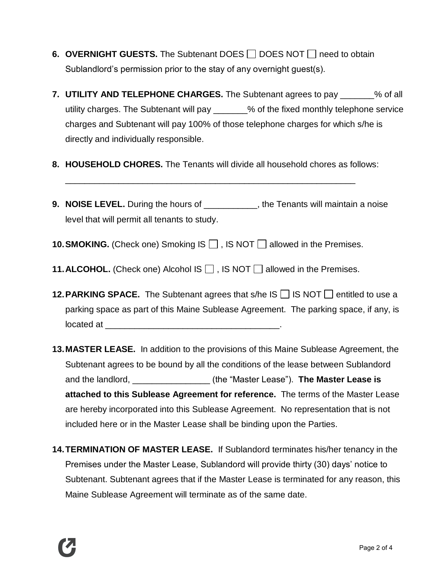- **6. OVERNIGHT GUESTS.** The Subtenant DOES  $\Box$  DOES NOT  $\Box$  need to obtain Sublandlord's permission prior to the stay of any overnight guest(s).
- **7. UTILITY AND TELEPHONE CHARGES.** The Subtenant agrees to pay \_\_\_\_\_\_\_% of all utility charges. The Subtenant will pay \_\_\_\_\_\_\_% of the fixed monthly telephone service charges and Subtenant will pay 100% of those telephone charges for which s/he is directly and individually responsible.
- **8. HOUSEHOLD CHORES.** The Tenants will divide all household chores as follows:

\_\_\_\_\_\_\_\_\_\_\_\_\_\_\_\_\_\_\_\_\_\_\_\_\_\_\_\_\_\_\_\_\_\_\_\_\_\_\_\_\_\_\_\_\_\_\_\_\_\_\_\_\_\_\_\_\_\_\_\_

- **9. NOISE LEVEL.** During the hours of **the Tenants will maintain a noise** level that will permit all tenants to study.
- **10. SMOKING.** (Check one) Smoking IS  $\Box$ , IS NOT  $\Box$  allowed in the Premises.
- **11. ALCOHOL.** (Check one) Alcohol IS  $\Box$ , IS NOT  $\Box$  allowed in the Premises.
- **12. PARKING SPACE.** The Subtenant agrees that s/he IS  $\Box$  IS NOT  $\Box$  entitled to use a parking space as part of this Maine Sublease Agreement. The parking space, if any, is located at  $\Box$
- **13.MASTER LEASE.** In addition to the provisions of this Maine Sublease Agreement, the Subtenant agrees to be bound by all the conditions of the lease between Sublandord and the landlord, \_\_\_\_\_\_\_\_\_\_\_\_\_\_\_\_ (the "Master Lease"). **The Master Lease is attached to this Sublease Agreement for reference.** The terms of the Master Lease are hereby incorporated into this Sublease Agreement. No representation that is not included here or in the Master Lease shall be binding upon the Parties.
- **14.TERMINATION OF MASTER LEASE.** If Sublandord terminates his/her tenancy in the Premises under the Master Lease, Sublandord will provide thirty (30) days' notice to Subtenant. Subtenant agrees that if the Master Lease is terminated for any reason, this Maine Sublease Agreement will terminate as of the same date.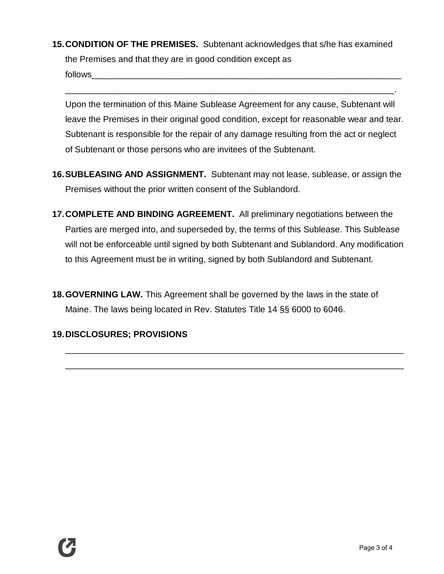**15.CONDITION OF THE PREMISES.** Subtenant acknowledges that s/he has examined the Premises and that they are in good condition except as follows

Upon the termination of this Maine Sublease Agreement for any cause, Subtenant will leave the Premises in their original good condition, except for reasonable wear and tear. Subtenant is responsible for the repair of any damage resulting from the act or neglect of Subtenant or those persons who are invitees of the Subtenant.

\_\_\_\_\_\_\_\_\_\_\_\_\_\_\_\_\_\_\_\_\_\_\_\_\_\_\_\_\_\_\_\_\_\_\_\_\_\_\_\_\_\_\_\_\_\_\_\_\_\_\_\_\_\_\_\_\_\_\_\_\_\_\_\_\_\_\_\_.

- **16.SUBLEASING AND ASSIGNMENT.** Subtenant may not lease, sublease, or assign the Premises without the prior written consent of the Sublandord.
- **17.COMPLETE AND BINDING AGREEMENT.** All preliminary negotiations between the Parties are merged into, and superseded by, the terms of this Sublease. This Sublease will not be enforceable until signed by both Subtenant and Sublandord. Any modification to this Agreement must be in writing, signed by both Sublandord and Subtenant.
- **18.GOVERNING LAW.** This Agreement shall be governed by the laws in the state of Maine. The laws being located in Rev. Statutes Title 14 §§ 6000 to 6046.

\_\_\_\_\_\_\_\_\_\_\_\_\_\_\_\_\_\_\_\_\_\_\_\_\_\_\_\_\_\_\_\_\_\_\_\_\_\_\_\_\_\_\_\_\_\_\_\_\_\_\_\_\_\_\_\_\_\_\_\_\_\_\_\_\_\_\_\_\_\_

\_\_\_\_\_\_\_\_\_\_\_\_\_\_\_\_\_\_\_\_\_\_\_\_\_\_\_\_\_\_\_\_\_\_\_\_\_\_\_\_\_\_\_\_\_\_\_\_\_\_\_\_\_\_\_\_\_\_\_\_\_\_\_\_\_\_\_\_\_\_

## **19.DISCLOSURES; PROVISIONS**